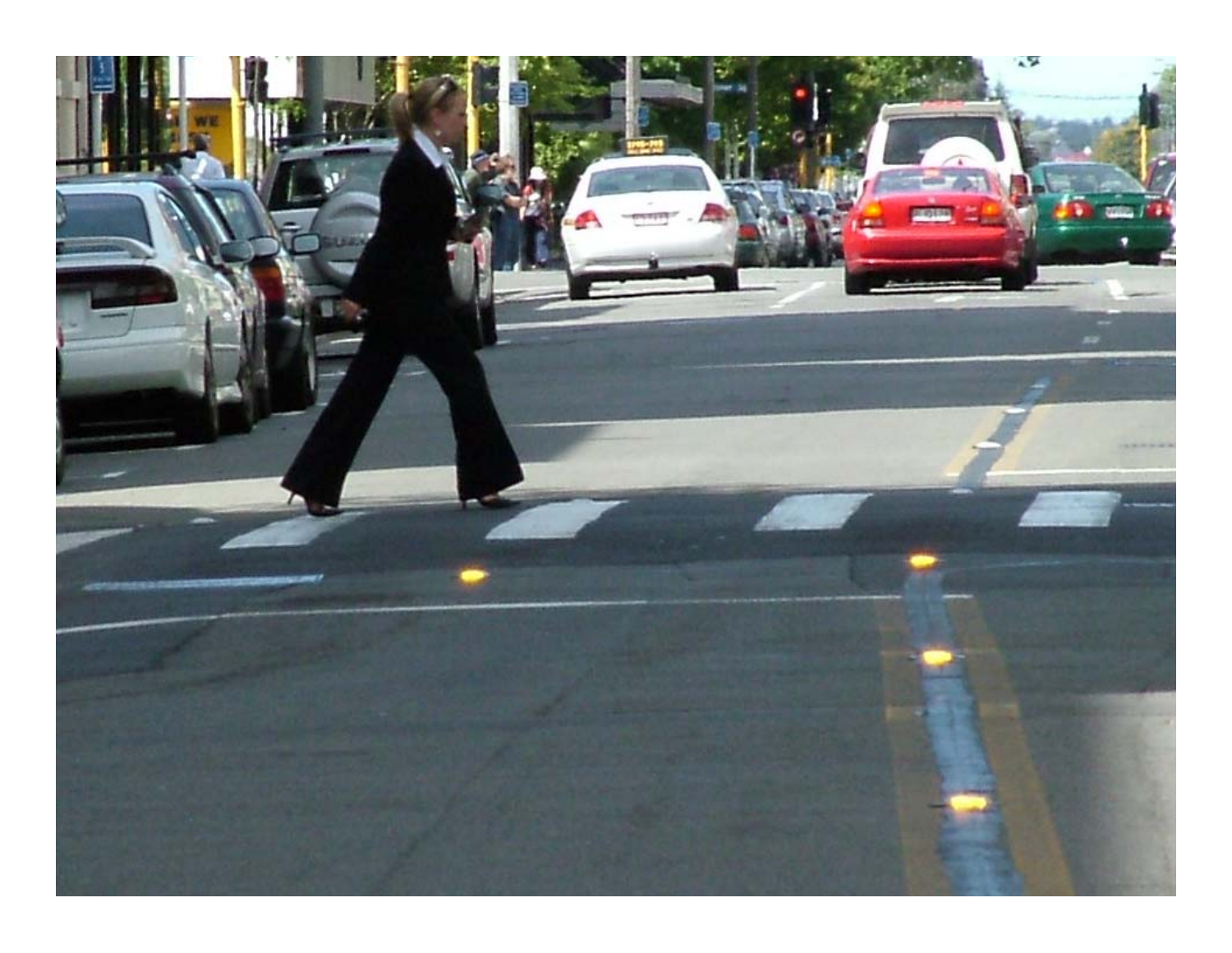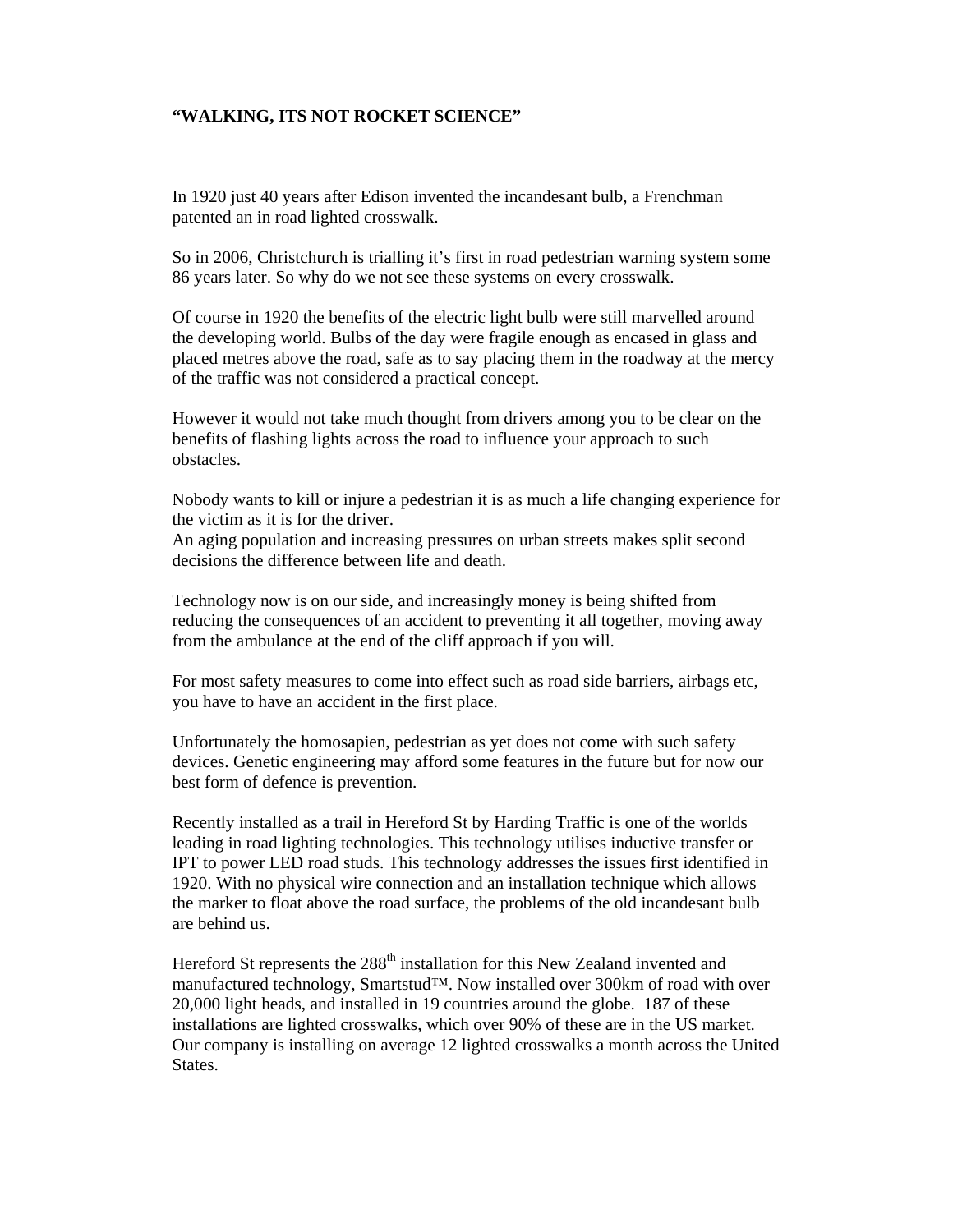## **"WALKING, ITS NOT ROCKET SCIENCE"**

In 1920 just 40 years after Edison invented the incandesant bulb, a Frenchman patented an in road lighted crosswalk.

So in 2006, Christchurch is trialling it's first in road pedestrian warning system some 86 years later. So why do we not see these systems on every crosswalk.

Of course in 1920 the benefits of the electric light bulb were still marvelled around the developing world. Bulbs of the day were fragile enough as encased in glass and placed metres above the road, safe as to say placing them in the roadway at the mercy of the traffic was not considered a practical concept.

However it would not take much thought from drivers among you to be clear on the benefits of flashing lights across the road to influence your approach to such obstacles.

Nobody wants to kill or injure a pedestrian it is as much a life changing experience for the victim as it is for the driver.

An aging population and increasing pressures on urban streets makes split second decisions the difference between life and death.

Technology now is on our side, and increasingly money is being shifted from reducing the consequences of an accident to preventing it all together, moving away from the ambulance at the end of the cliff approach if you will.

For most safety measures to come into effect such as road side barriers, airbags etc, you have to have an accident in the first place.

Unfortunately the homosapien, pedestrian as yet does not come with such safety devices. Genetic engineering may afford some features in the future but for now our best form of defence is prevention.

Recently installed as a trail in Hereford St by Harding Traffic is one of the worlds leading in road lighting technologies. This technology utilises inductive transfer or IPT to power LED road studs. This technology addresses the issues first identified in 1920. With no physical wire connection and an installation technique which allows the marker to float above the road surface, the problems of the old incandesant bulb are behind us.

Hereford St represents the 288<sup>th</sup> installation for this New Zealand invented and manufactured technology, Smartstud™. Now installed over 300km of road with over 20,000 light heads, and installed in 19 countries around the globe. 187 of these installations are lighted crosswalks, which over 90% of these are in the US market. Our company is installing on average 12 lighted crosswalks a month across the United States.